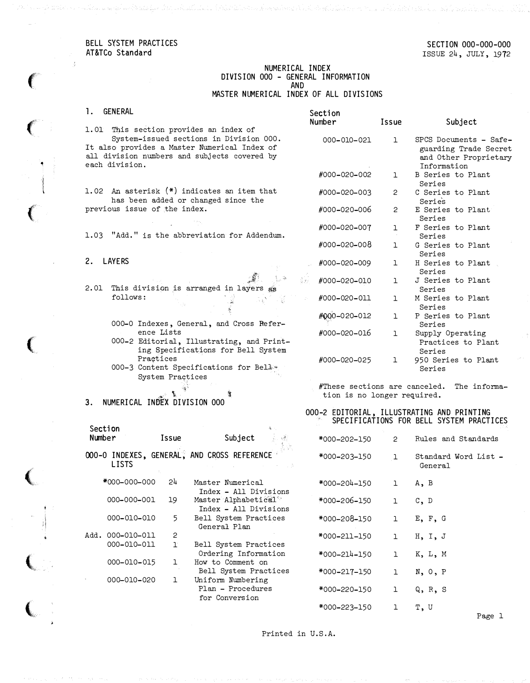BELL SYSTEM PRACTICES AT&TCo Standard

 $\left($ 

۰,

 $\left($ 

 $\left($ 

 $\left($ 

 $\big($ 

 $\left($ 

 $\ \vdots$ 

### NUMERICAL INDEX DIVISION 000 - GENERAL INFORMATION AND

MASTER NUMERICAL INDEX OF ALL DIVISIONS

| 1.   | GENERAL                                                                                                                                                   | Section                       |                       |                                                                                         |
|------|-----------------------------------------------------------------------------------------------------------------------------------------------------------|-------------------------------|-----------------------|-----------------------------------------------------------------------------------------|
|      |                                                                                                                                                           | Number                        | Issue                 | Subject                                                                                 |
|      | 1.01 This section provides an index of                                                                                                                    |                               |                       |                                                                                         |
|      | System-issued sections in Division 000.<br>It also provides a Master Numerical Index of<br>all division numbers and subjects covered by<br>each division. | 000-010-021                   | $\mathbf{1}$          | SPCS Documents - Safe-<br>guarding Trade Secret<br>and Other Proprietary<br>Information |
|      |                                                                                                                                                           | #000-020-002                  | 1                     | B Series to Plant<br>Series                                                             |
|      | 1.02 An asterisk (*) indicates an item that<br>has been added or changed since the                                                                        | #000-020-003                  | $\mathbf{2}^{\prime}$ | C Series to Plant<br>Series                                                             |
|      | previous issue of the index.                                                                                                                              | #000-020-006                  | $\overline{c}$        | E Series to Plant<br>Series                                                             |
|      | 1.03 "Add." is the abbreviation for Addendum.                                                                                                             | #000-020-007                  | ı                     | F Series to Plant<br>Series                                                             |
|      |                                                                                                                                                           | #000-020-008                  | ı                     | G Series to Plant<br>Series                                                             |
| 2.   | <b>LAYERS</b>                                                                                                                                             | #000-020-009                  | 1                     | H Series to Plant<br>Series                                                             |
| 2.01 | §xz.<br>This division is arranged in layers as                                                                                                            | #000-020-010                  | Т.                    | J Series to Plant<br>Series                                                             |
|      | follows:                                                                                                                                                  | #000-020-011                  | 1                     | M Series to Plant<br>Series                                                             |
|      | 000-0 Indexes, General, and Cross Refer-                                                                                                                  | #000-020-012                  | $\mathbf{1}$          | P Series to Plant<br>Series                                                             |
|      | ence Lists<br>000-2 Editorial, Illustrating, and Print-<br>ing Specifications for Bell System                                                             | #000-020-016                  | ı                     | Supply Operating<br>Practices to Plant<br>Series                                        |
|      | Practices<br>000-3 Content Specifications for Belles<br>System Practices                                                                                  | #000-020-025                  | 1                     | 950 Series to Plant<br>Series                                                           |
|      |                                                                                                                                                           | #These sections are canceled. |                       | The informa-                                                                            |
| 3.   | NUMERICAL INDEX DIVISION 000                                                                                                                              | tion is no longer required.   |                       |                                                                                         |

#### 000-2 EDITORIAL, ILLUSTRATING AND PRINTING SPECIFICATIONS FOR BELL SYSTEM PRACTICES

| Subject<br>i ya M                                         | *000-202-150 | $\mathbf{2}^{\circ}$ | Rules and Standards             |
|-----------------------------------------------------------|--------------|----------------------|---------------------------------|
| AND CROSS REFERENCE<br>アーバー 中国 いちかい 上陸                    | *000–203–150 | $\mathbf{1}$         | Standard Word List -<br>General |
| Master Numerical<br>Index - All Divisions                 | *000-204-150 | ı                    | A, B                            |
| Master Alphabetical <sup>®</sup><br>Index - All Divisions | *000-206-150 | ı                    | C, D                            |
| Bell System Practices<br>General Plan                     | *000-208-150 | ı                    | E, F, G                         |
| Bell System Practices                                     | *000-211-150 | ı                    | H.I.J                           |
| Ordering Information<br>How to Comment on                 | *000-214-150 | $\mathbf{1}$         | K, L, M                         |
| Bell System Practices<br>Uniform Numbering                | *000-217-150 | ı                    | N, 0, P                         |
| Plan - Procedures<br>for Conversion                       | *000-220-150 | ı                    | Q, R, S                         |
|                                                           | *000–223–150 | ı                    | T, U                            |

Printed in U.S.A.

Page 1

1. GENERAL

a an the metric and a significant with the limit of the state of the state of a property of his family late and

- 000-0 Indexes, General, an ence Lists 000-2 Editorial, Illustrat
- ing Specifications f Praqtices
- 000-3 Content Specificatio System Practices

Section Number Issue Subject 000-0 INDEXES, GENERAL, AND CROSS REFEREN LISTS \*000-000-000 24 000-000-001 19 000-010-010 5 Master Nume Index  $-$  A Master Alph Index  $-$  A Bell System General P

Add. 000-010-011 2 000-010-011 1 000-010-015 1 000-010-020 1

| erical             | *000-204-1 |
|--------------------|------------|
| ll Divisions       |            |
| habetical $^\circ$ | *000-206-1 |
| .ll Divisions      |            |
| m Practices        | *000-208-1 |
| 'lan               |            |
|                    | *000-211-1 |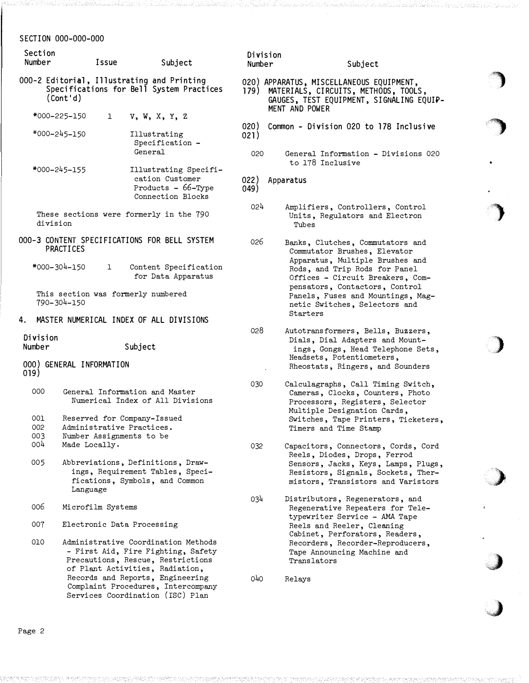| Section<br>Number  |                              | Issue                                                                                | Subject                                                                                                                                           | Number       | Division       | Subject                                                                                                                                                                    |
|--------------------|------------------------------|--------------------------------------------------------------------------------------|---------------------------------------------------------------------------------------------------------------------------------------------------|--------------|----------------|----------------------------------------------------------------------------------------------------------------------------------------------------------------------------|
|                    | (Cont 'd)                    |                                                                                      | 000-2 Editorial, Illustrating and Printing<br>Specifications for Bell System Practices                                                            |              | MENT AND POWER | 020) APPARATUS, MISCELLANEOUS EQUIPMENT,<br>179) MATERIALS, CIRCUITS, METHODS, TOOLS,<br>GAUGES, TEST EQUIPMENT, SIGNALING EQUIP-                                          |
|                    | *000-225-150<br>*000-245-150 | $\mathbf{1}$                                                                         | $V$ , $W$ , $X$ , $Y$ , $Z$<br>Illustrating<br>Specification -                                                                                    | 020)<br>021) |                | Common - Division 020 to 178 Inclusive                                                                                                                                     |
|                    |                              |                                                                                      | General                                                                                                                                           | 020          |                | General Information - Divisions 020<br>to 178 Inclusive                                                                                                                    |
|                    | *000-245-155                 |                                                                                      | Illustrating Specifi-<br>cation Customer<br>Products $-66$ -Type<br>Connection Blocks                                                             | 022)<br>049) | Apparatus      |                                                                                                                                                                            |
| division           |                              |                                                                                      | These sections were formerly in the 790                                                                                                           | 024          |                | Amplifiers, Controllers, Control<br>Units, Regulators and Electron<br>Tubes                                                                                                |
|                    | PRACTICES                    |                                                                                      | 000-3 CONTENT SPECIFICATIONS FOR BELL SYSTEM                                                                                                      | 026          |                | Banks, Clutches, Commutators and<br>Commutator Brushes, Elevator<br>Apparatus, Multiple Brushes and                                                                        |
|                    | *000-304-150                 | ı                                                                                    | Content Specification<br>for Data Apparatus                                                                                                       |              |                | Rods, and Trip Rods for Panel<br>Offices - Circuit Breakers, Com-<br>pensators, Contactors, Control                                                                        |
|                    | 790-304-150                  |                                                                                      | This section was formerly numbered                                                                                                                |              |                | Panels, Fuses and Mountings, Mag-<br>netic Switches, Selectors and<br>Starters                                                                                             |
| 4.                 |                              |                                                                                      | MASTER NUMERICAL INDEX OF ALL DIVISIONS                                                                                                           |              |                |                                                                                                                                                                            |
| Division<br>Number | 000) GENERAL INFORMATION     | Subject                                                                              |                                                                                                                                                   | 028          |                | Autotransformers, Bells, Buzzers,<br>Dials, Dial Adapters and Mount-<br>ings, Gongs, Head Telephone Sets,<br>Headsets, Potentiometers,<br>Rheostats, Ringers, and Sounders |
| 019)               |                              |                                                                                      |                                                                                                                                                   | 030          |                | Calculagraphs, Call Timing Switch,                                                                                                                                         |
| 000                |                              |                                                                                      | General Information and Master<br>Numerical Index of All Divisions                                                                                |              |                | Cameras, Clocks, Counters, Photo<br>Processors, Registers, Selector<br>Multiple Designation Cards,                                                                         |
| 001<br>002<br>003  |                              | Reserved for Company-Issued<br>Administrative Practices.<br>Number Assignments to be |                                                                                                                                                   |              |                | Switches, Tape Printers, Ticketers,<br>Timers and Time Stamp                                                                                                               |
| 004                | Made Locally.                |                                                                                      |                                                                                                                                                   | 032          |                | Capacitors, Connectors, Cords, Cord<br>Reels, Diodes, Drops, Ferrod                                                                                                        |
| 005                | Language                     |                                                                                      | Abbreviations, Definitions, Draw-<br>ings, Requirement Tables, Speci-<br>fications, Symbols, and Common                                           |              |                | Sensors, Jacks, Keys, Lamps, Plugs,<br>Resistors, Signals, Sockets, Ther-<br>mistors, Transistors and Varistors                                                            |
| 006                |                              | Microfilm Systems                                                                    |                                                                                                                                                   | 034          |                | Distributors, Regenerators, and<br>Regenerative Repeaters for Tele-                                                                                                        |
| 007                |                              | Electronic Data Processing                                                           |                                                                                                                                                   |              |                | typewriter Service - AMA Tape<br>Reels and Reeler, Cleaning                                                                                                                |
| 010                |                              |                                                                                      | Administrative Coordination Methods<br>- First Aid, Fire Fighting, Safety<br>Precautions, Rescue, Restrictions<br>of Plant Activities, Radiation, |              |                | Cabinet, Perforators, Readers,<br>Recorders, Recorder-Reproducers,<br>Tape Announcing Machine and<br>Translators                                                           |
|                    |                              |                                                                                      | Records and Reports, Engineering<br>Complaint Procedures, Intercompany<br>Services Coordination (ISC) Plan                                        | 040          | Relays         |                                                                                                                                                                            |

and the contract of the contract of the

<sup>J</sup>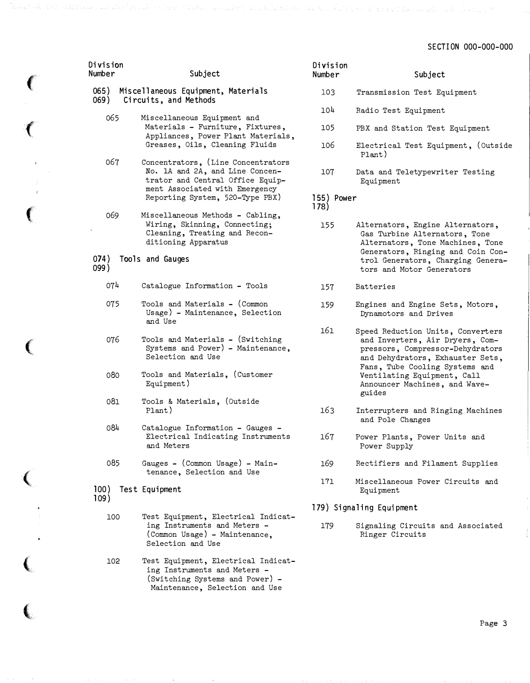| Division<br>Number | Subject                                                                                                                                     | Division<br>Number | Subject                                                                                                                                      |
|--------------------|---------------------------------------------------------------------------------------------------------------------------------------------|--------------------|----------------------------------------------------------------------------------------------------------------------------------------------|
| 065)<br>069)       | Miscellaneous Equipment, Materials<br>Circuits, and Methods                                                                                 | 103                | Transmission Test Equipment                                                                                                                  |
| 065                | Miscellaneous Equipment and                                                                                                                 | 104                | Radio Test Equipment                                                                                                                         |
|                    | Materials - Furniture, Fixtures,<br>Appliances, Power Plant Materials,                                                                      | 105                | PBX and Station Test Equipment                                                                                                               |
|                    | Greases, Oils, Cleaning Fluids                                                                                                              | 106                | Electrical Test Equipment, (Outside<br>Plant)                                                                                                |
| 067                | Concentrators, (Line Concentrators<br>No. 1A and 2A, and Line Concen-<br>trator and Central Office Equip-<br>ment Associated with Emergency | 107                | Data and Teletypewriter Testing<br>Equipment                                                                                                 |
|                    | Reporting System, 520-Type PBX)                                                                                                             | 155) Power<br>178) |                                                                                                                                              |
| 069                | Miscellaneous Methods - Cabling,<br>Wiring, Skinning, Connecting;                                                                           | 155                | Alternators, Engine Alternators,                                                                                                             |
|                    | Cleaning, Treating and Recon-<br>ditioning Apparatus                                                                                        |                    | Gas Turbine Alternators, Tone<br>Alternators, Tone Machines, Tone                                                                            |
| (074)<br>099)      | Tools and Gauges                                                                                                                            |                    | Generators, Ringing and Coin Con-<br>trol Generators, Charging Genera-<br>tors and Motor Generators                                          |
| 074                | Catalogue Information - Tools                                                                                                               | 157                | <b>Batteries</b>                                                                                                                             |
| 075                | Tools and Materials - (Common<br>Usage) - Maintenance, Selection<br>and Use                                                                 | 159                | Engines and Engine Sets, Motors,<br>Dynamotors and Drives                                                                                    |
| 076                | Tools and Materials - (Switching<br>Systems and Power) - Maintenance,<br>Selection and Use                                                  | 161                | Speed Reduction Units, Converters<br>and Inverters, Air Dryers, Com-<br>pressors, Compressor-Dehydrators<br>and Dehydrators, Exhauster Sets, |
| 080                | Tools and Materials, (Customer<br>Equipment)                                                                                                |                    | Fans, Tube Cooling Systems and<br>Ventilating Equipment, Call<br>Announcer Machines, and Wave-<br>guides                                     |
| 081                | Tools & Materials, (Outside<br>Plant)                                                                                                       | 163                | Interrupters and Ringing Machines                                                                                                            |
| 084                | Catalogue Information - Gauges -                                                                                                            |                    | and Pole Changes                                                                                                                             |
|                    | Electrical Indicating Instruments<br>and Meters                                                                                             | 167                | Power Plants, Power Units and<br>Power Supply                                                                                                |
| 085                | Gauges - (Common Usage) - Main-<br>tenance, Selection and Use                                                                               | 169                | Rectifiers and Filament Supplies                                                                                                             |
| 100)<br>109)       | Test Equipment                                                                                                                              | 171                | Miscellaneous Power Circuits and<br>Equipment                                                                                                |
|                    |                                                                                                                                             |                    | 179) Signaling Equipment                                                                                                                     |
| 100                | Test Equipment, Electrical Indicat-<br>ing Instruments and Meters -<br>(Common Usage) - Maintenance,<br>Selection and Use                   | 179                | Signaling Circuits and Associated<br>Ringer Circuits                                                                                         |
| 102                | Test Equipment, Electrical Indicat-<br>ing Instruments and Meters -<br>(Switching Systems and Power) -<br>Maintenance, Selection and Use    |                    |                                                                                                                                              |

 $\left($ 

 $\big($ 

 $\sim$ 

€

 $\big($ 

 $\big($ 

 $\overline{\mathbf{C}}$ 

 $\overline{\mathbf{C}}$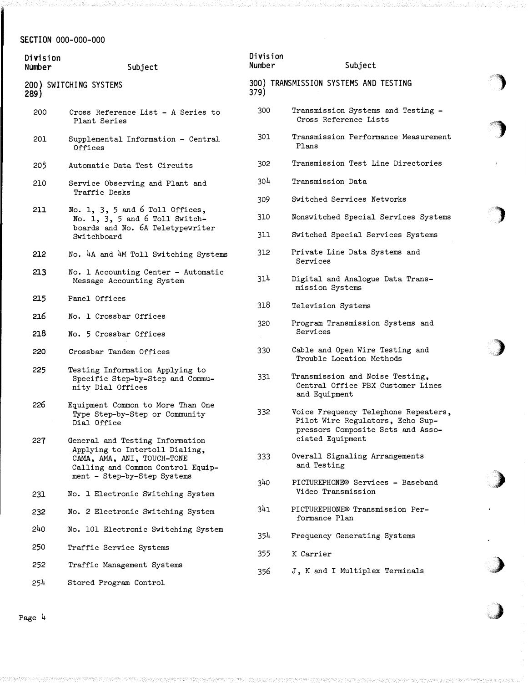| Division<br>Number | Subject                                                                                                                              | Division<br>Number | Subject                                                                                                                           |  |
|--------------------|--------------------------------------------------------------------------------------------------------------------------------------|--------------------|-----------------------------------------------------------------------------------------------------------------------------------|--|
| 289)               | 200) SWITCHING SYSTEMS                                                                                                               | 379)               | 300) TRANSMISSION SYSTEMS AND TESTING                                                                                             |  |
| 200                | Cross Reference List - A Series to<br>Plant Series                                                                                   | 300                | Transmission Systems and Testing -<br>Cross Reference Lists                                                                       |  |
| 201                | Supplemental Information - Central<br>Offices                                                                                        | 301                | Transmission Performance Measurement<br>Plans                                                                                     |  |
| 205                | Automatic Data Test Circuits                                                                                                         | 302                | Transmission Test Line Directories                                                                                                |  |
| 210                | Service Observing and Plant and<br>Traffic Desks                                                                                     | 304                | Transmission Data                                                                                                                 |  |
|                    |                                                                                                                                      | 309                | Switched Services Networks                                                                                                        |  |
| 211                | No. 1, 3, 5 and 6 Toll Offices,<br>No. 1, 3, 5 and 6 Toll Switch-<br>boards and No. 6A Teletypewriter                                | 310                | Nonswitched Special Services Systems                                                                                              |  |
|                    | Switchboard                                                                                                                          | 311                | Switched Special Services Systems                                                                                                 |  |
| 212                | No. 4A and 4M Toll Switching Systems                                                                                                 | 312                | Private Line Data Systems and<br>Services                                                                                         |  |
| 213                | No. 1 Accounting Center - Automatic<br>Message Accounting System                                                                     | 314                | Digital and Analogue Data Trans-<br>mission Systems                                                                               |  |
| 215                | Panel Offices                                                                                                                        | 318                | Television Systems                                                                                                                |  |
| 216                | No. 1 Crossbar Offices                                                                                                               | 320                | Program Transmission Systems and                                                                                                  |  |
| 218                | No. 5 Crossbar Offices                                                                                                               |                    | Services                                                                                                                          |  |
| 220                | Crossbar Tandem Offices                                                                                                              | 330                | Cable and Open Wire Testing and<br>Trouble Location Methods                                                                       |  |
| 225                | Testing Information Applying to<br>Specific Step-by-Step and Commu-<br>nity Dial Offices                                             | 331                | Transmission and Noise Testing,<br>Central Office PBX Customer Lines<br>and Equipment                                             |  |
| 226                | Equipment Common to More Than One<br>Type Step-by-Step or Community<br>Dial Office                                                   | 332                | Voice Frequency Telephone Repeaters,<br>Pilot Wire Regulators, Echo Sup-<br>pressors Composite Sets and Asso-<br>ciated Equipment |  |
| 227                | General and Testing Information<br>Applying to Intertoll Dialing,<br>CAMA, AMA, ANI, TOUCH-TONE<br>Calling and Common Control Equip- | 333                | Overall Signaling Arrangements<br>and Testing                                                                                     |  |
| 231                | ment - Step-by-Step Systems<br>No. 1 Electronic Switching System                                                                     | 340                | PICTUREPHONE® Services - Baseband<br>Video Transmission                                                                           |  |
| 232                | No. 2 Electronic Switching System                                                                                                    | 341                | PICTUREPHONE® Transmission Per-<br>formance Plan                                                                                  |  |
| 240                | No. 101 Electronic Switching System                                                                                                  | 354                | Frequency Generating Systems                                                                                                      |  |
| 250                | Traffic Service Systems                                                                                                              |                    |                                                                                                                                   |  |
| 252                | Traffic Management Systems                                                                                                           | 355                | K Carrier                                                                                                                         |  |
| 254                | Stored Program Control                                                                                                               | 356                | J, K and I Multiplex Terminals                                                                                                    |  |
|                    |                                                                                                                                      |                    |                                                                                                                                   |  |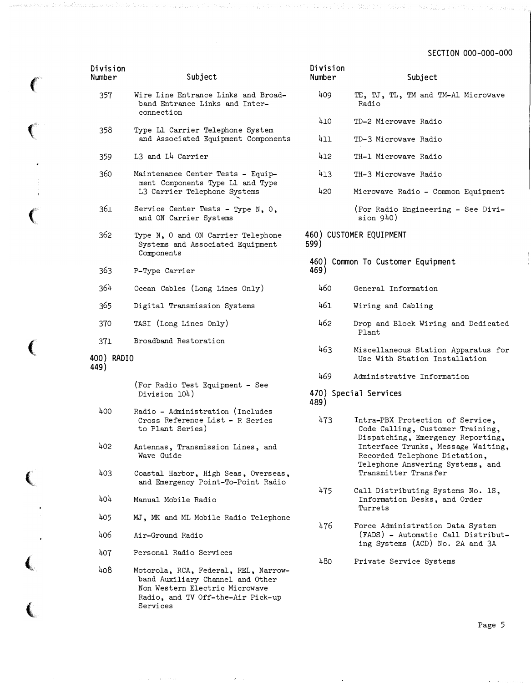| Division<br>Number | Subject                                                                                                                                         | Divisi<br>Number      |
|--------------------|-------------------------------------------------------------------------------------------------------------------------------------------------|-----------------------|
| 357                | Wire Line Entrance Links and Broad-<br>band Entrance Links and Inter-<br>connection                                                             | 409                   |
|                    |                                                                                                                                                 | 410                   |
| 358                | Type L1 Carrier Telephone System<br>and Associated Equipment Components                                                                         | 411                   |
| 359                | L3 and L4 Carrier                                                                                                                               | 412                   |
| 360                | Maintenance Center Tests - Equip-<br>ment Components Type L1 and Type<br>L3 Carrier Telephone Systems                                           | 413<br>420            |
| 361                | Service Center Tests - Type N, O,<br>and ON Carrier Systems                                                                                     |                       |
| 362                | Type N, O and ON Carrier Telephone<br>Systems and Associated Equipment<br>Components                                                            | 460) CU<br>599)       |
| 363                | P-Type Carrier                                                                                                                                  | 460) C<br>469)        |
| 364                | Ocean Cables (Long Lines Only)                                                                                                                  | 460                   |
| 365                | Digital Transmission Systems                                                                                                                    | 461                   |
| 370                | TASI (Long Lines Only)                                                                                                                          | 462                   |
| 371                | Broadband Restoration                                                                                                                           |                       |
| 400) RADIO<br>449) |                                                                                                                                                 | 463                   |
|                    | (For Radio Test Equipment - See<br>Division 104)                                                                                                | 469<br>470) S<br>489) |
| 400                | Radio - Administration (Includes<br>Cross Reference List - R Series<br>to Plant Series)                                                         | 473                   |
| 402                | Antennas, Transmission Lines, and<br>Wave Guide                                                                                                 |                       |
| 403                | Coastal Harbor, High Seas, Overseas,<br>and Emergency Point-To-Point Radio                                                                      |                       |
| 404                | Manual Mobile Radio                                                                                                                             | 475                   |
| 405                | MJ, MK and ML Mobile Radio Telephone                                                                                                            | 476                   |
| 406                | Air-Ground Radio                                                                                                                                |                       |
| 407                | Personal Radio Services                                                                                                                         | 480                   |
| 408                | Motorola, RCA, Federal, REL, Narrow-<br>band Auxiliary Channel and Other<br>Non Western Electric Microwave<br>Radio, and TV Off-the-Air Pick-up |                       |

Services

 $\left($ 

 $\left($ 

 $\overline{\mathbf{C}}$ 

 $\ddot{\phantom{1}}$ 

 $\big($ 

 $\epsilon$ 

 $\overline{\mathbf{C}}$ 

 $\mathbb{Z}^2$ 

l

| Division<br>Number | Subject                                                                                                                                                                                                                                      |
|--------------------|----------------------------------------------------------------------------------------------------------------------------------------------------------------------------------------------------------------------------------------------|
| 409                | TE, TJ, TL, TM and TM-Al Microwave<br>Radio                                                                                                                                                                                                  |
| 410                | TD-2 Microwave Radio                                                                                                                                                                                                                         |
| 411                | TD-3 Microwave Radio                                                                                                                                                                                                                         |
| 412                | TH-1 Microwave Radio                                                                                                                                                                                                                         |
| 413                | TH-3 Microwave Radio                                                                                                                                                                                                                         |
| 420                | Microwave Radio - Common Equipment                                                                                                                                                                                                           |
|                    | (For Radio Engineering - See Divi-<br>sion 940)                                                                                                                                                                                              |
| 599)               | 460) CUSTOMER EQUIPMENT                                                                                                                                                                                                                      |
| 469)               | 460) Common To Customer Equipment                                                                                                                                                                                                            |
| 460                | General Information                                                                                                                                                                                                                          |
| 461                | Wiring and Cabling                                                                                                                                                                                                                           |
| 462                | Drop and Block Wiring and Dedicated<br>Plant                                                                                                                                                                                                 |
| 463                | Miscellaneous Station Apparatus<br>for<br>Use With Station Installation                                                                                                                                                                      |
| 469                | Administrative Information                                                                                                                                                                                                                   |
| 489)               | 470) Special Services                                                                                                                                                                                                                        |
| 473                | Intra-PBX Protection of Service,<br>Code Calling, Customer Training,<br>Dispatching, Emergency Reporting,<br>Interface Trunks, Message Waiting,<br>Recorded Telephone Dictation,<br>Telephone Answering Systems, and<br>Transmitter Transfer |
| 475                | Call Distributing Systems No. 1S,<br>Information Desks, and Order<br>Turrets                                                                                                                                                                 |
| ከ76                | Force Administration Data System                                                                                                                                                                                                             |

Force Administration Data System (FADS) - Automatic Call Distributing Systems (ACD) No. 2A and 3A

Private Service Systems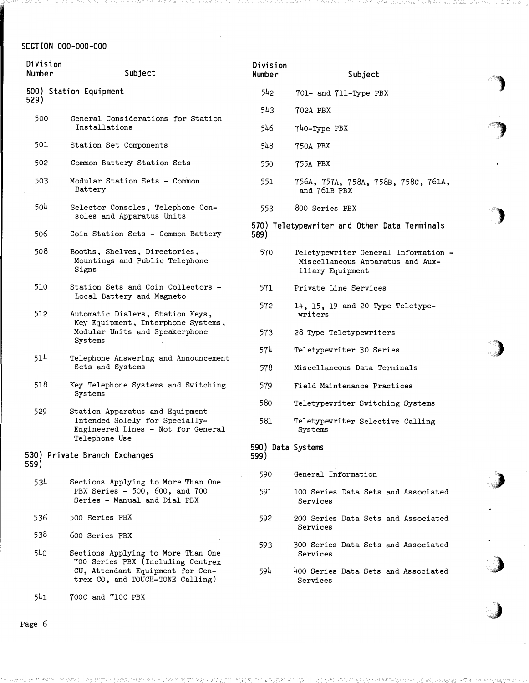| Division<br>Number | Subject                                                                                                                                         | Division<br>Number        | Subject                                                                                      |
|--------------------|-------------------------------------------------------------------------------------------------------------------------------------------------|---------------------------|----------------------------------------------------------------------------------------------|
| 529)               | 500) Station Equipment                                                                                                                          | 542                       | 701- and 711-Type PBX                                                                        |
| 500                | General Considerations for Station                                                                                                              | 543                       | 702A PBX                                                                                     |
|                    | Installations                                                                                                                                   | 546                       | 740-Type PBX                                                                                 |
| 501                | Station Set Components                                                                                                                          | 548                       | 750A PBX                                                                                     |
| 502                | Common Battery Station Sets                                                                                                                     | 550                       | 755A PBX                                                                                     |
| 503                | Modular Station Sets - Common<br>Battery                                                                                                        | 551                       | 756A, 757A, 758A, 758B, 758C, 761A,<br>and 761B PBX                                          |
| 504                | Selector Consoles, Telephone Con-<br>soles and Apparatus Units                                                                                  | 553                       | 800 Series PBX                                                                               |
| 506                | Coin Station Sets - Common Battery                                                                                                              | 589)                      | 570) Teletypewriter and Other Data Terminals                                                 |
| 508                | Booths, Shelves, Directories,<br>Mountings and Public Telephone<br>Signs                                                                        | 570                       | Teletypewriter General Information -<br>Miscellaneous Apparatus and Aux-<br>iliary Equipment |
| 510                | Station Sets and Coin Collectors -<br>Local Battery and Magneto                                                                                 | 571                       | Private Line Services                                                                        |
| 512                | Automatic Dialers, Station Keys,<br>Key Equipment, Interphone Systems,<br>Modular Units and Speakerphone<br>Systems                             | 572                       | $14$ , 15, 19 and 20 Type Teletype-<br>writers                                               |
|                    |                                                                                                                                                 | 573                       | 28 Type Teletypewriters                                                                      |
| 514                | Telephone Answering and Announcement                                                                                                            | 574                       | Teletypewriter 30 Series                                                                     |
|                    | Sets and Systems                                                                                                                                | 578                       | Miscellaneous Data Terminals                                                                 |
| 518                | Key Telephone Systems and Switching<br>Systems                                                                                                  | 579                       | Field Maintenance Practices                                                                  |
| 529                | Station Apparatus and Equipment                                                                                                                 | 580                       | Teletypewriter Switching Systems                                                             |
|                    | Intended Solely for Specially-<br>Engineered Lines - Not for General                                                                            | 581                       | Teletypewriter Selective Calling<br>Systems                                                  |
| 559)               | Telephone Use<br>530) Private Branch Exchanges                                                                                                  | 590) Data Systems<br>599) |                                                                                              |
| 534                | Sections Applying to More Than One                                                                                                              | 590                       | General Information                                                                          |
|                    | PBX Series - 500, 600, and 700<br>Series - Manual and Dial PBX                                                                                  | 591.                      | 100 Series Data Sets and Associated<br>Services                                              |
| 536                | 500 Series PBX                                                                                                                                  | 592                       | 200 Series Data Sets and Associated<br>Services                                              |
| 538                | 600 Series PBX                                                                                                                                  |                           |                                                                                              |
| 540                | Sections Applying to More Than One<br>700 Series PBX (Including Centrex<br>CU, Attendant Equipment for Cen-<br>trex CO, and TOUCH-TONE Calling) | 593                       | 300 Series Data Sets and Associated<br>Services                                              |
|                    |                                                                                                                                                 | 594                       | 400 Series Data Sets and Associated<br>Services                                              |
| 541                | 700C and 710C PBX                                                                                                                               |                           |                                                                                              |

 $\bar{\mathcal{A}}$ 

.. <�

 $\ddot{\phantom{a}}$ 

)' ).

,}

 $\epsilon$ 

,)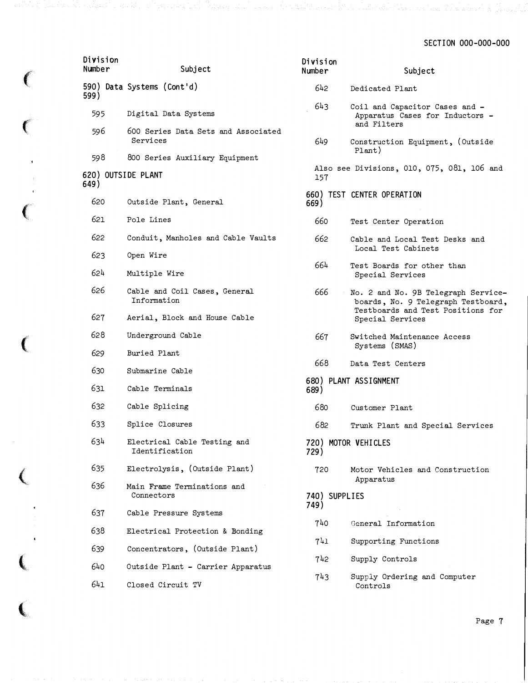| Division<br>Number         | Subject                                         | Division<br>Number | Subject                                                                          |
|----------------------------|-------------------------------------------------|--------------------|----------------------------------------------------------------------------------|
| 599)                       | 590) Data Systems (Cont'd)                      | 642                | Dedicated Plant                                                                  |
| 595                        | Digital Data Systems                            | 643                | Coil and Capacitor Cases and -<br>Apparatus Cases for Inductors -<br>and Filters |
| 596                        | 600 Series Data Sets and Associated<br>Services | 649                | Construction Equipment, (Outside                                                 |
| 598                        | 800 Series Auxiliary Equipment                  |                    | Plant)                                                                           |
| 620) OUTSIDE PLANT<br>649) |                                                 | 157                | Also see Divisions, 010, 075, 081, 106 and                                       |
| 620                        | Outside Plant, General                          | 669)               | 660) TEST CENTER OPERATION                                                       |
| 621                        | Pole Lines                                      | 660                | Test Center Operation                                                            |
| 622                        | Conduit, Manholes and Cable Vaults              | 662                | Cable and Local Test Desks and<br>Local Test Cabinets                            |
| 623<br>624                 | Open Wire<br>Multiple Wire                      | 664                | Test Boards for other than<br>Special Services                                   |
| 626                        | Cable and Coil Cases, General<br>Information    | 666                | No. 2 and No. 9B Telegraph Service-<br>boards, No. 9 Telegraph Testboard,        |
| 627                        | Aerial, Block and House Cable                   |                    | Testboards and Test Positions for<br>Special Services                            |
| 628                        | Underground Cable                               | 667                | Switched Maintenance Access<br>Systems (SMAS)                                    |
| 629                        | Buried Plant                                    | 668                |                                                                                  |
| 630                        | Submarine Cable                                 |                    | Data Test Centers                                                                |
| 631                        | Cable Terminals                                 | 689)               | 680) PLANT ASSIGNMENT                                                            |
| 632                        | Cable Splicing                                  | 680                | Customer Plant                                                                   |
| 633                        | Splice Closures                                 | 682                | Trunk Plant and Special Services                                                 |
| 634                        | Electrical Cable Testing and<br>Identification  | 729)               | 720) MOTOR VEHICLES                                                              |
| 635                        | Electrolysis, (Outside Plant)                   | 720                | Motor Vehicles and Construction                                                  |
| 636                        | Main Frame Terminations and<br>Connectors       | 740) SUPPLIES      | Apparatus                                                                        |
| 637                        | Cable Pressure Systems                          | 749)               |                                                                                  |
| 638                        | Electrical Protection & Bonding                 | 740                | General Information                                                              |
| 639                        | Concentrators, (Outside Plant)                  | 741                | Supporting Functions                                                             |
| 640                        | Outside Plant - Carrier Apparatus               | 742                | Supply Controls                                                                  |
| 641                        | Closed Circuit TV                               | 743                | Supply Ordering and Computer<br>Controls                                         |

 $\big($ 

 $\left($ 

 $\big($ 

 $\big($ 

 $\overline{\mathbf{C}}$ 

 $\overline{\mathbf{C}}$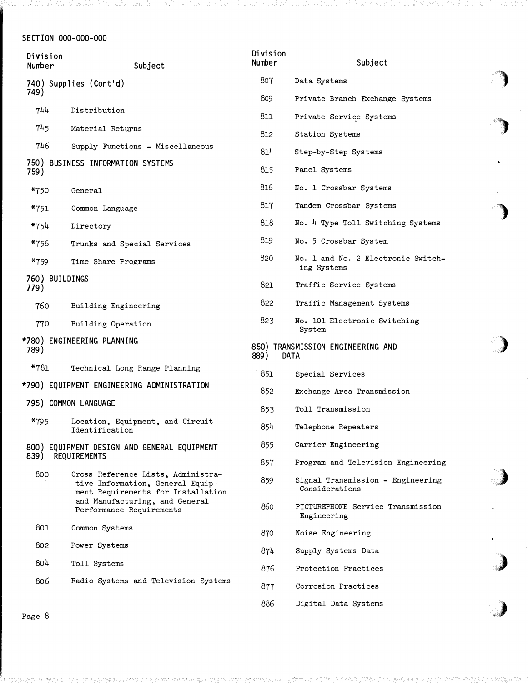| Division<br>Number     | Subject                                                                                                                                                                    | Division<br>Number | Subject                                             |
|------------------------|----------------------------------------------------------------------------------------------------------------------------------------------------------------------------|--------------------|-----------------------------------------------------|
|                        | 740) Supplies (Cont'd)                                                                                                                                                     | 807                | Data Systems                                        |
| 749)                   |                                                                                                                                                                            | 809                | Private Branch Exchange Systems                     |
| 744                    | Distribution                                                                                                                                                               | 811                | Private Service Systems                             |
| 745                    | Material Returns                                                                                                                                                           | 812                | Station Systems                                     |
| 746                    | Supply Functions - Miscellaneous                                                                                                                                           | 814                | Step-by-Step Systems                                |
| 759)                   | 750) BUSINESS INFORMATION SYSTEMS                                                                                                                                          | 815                | Panel Systems                                       |
| $*750$                 | General                                                                                                                                                                    | 816                | No. 1 Crossbar Systems                              |
| *751                   | Common Language                                                                                                                                                            | 817                | Tandem Crossbar Systems                             |
| *754                   | Directory                                                                                                                                                                  | 818                | No. 4 Type Toll Switching Systems                   |
| *756                   | Trunks and Special Services                                                                                                                                                | 819                | No. 5 Crossbar System                               |
| *759                   | Time Share Programs                                                                                                                                                        | 820                | No. 1 and No. 2 Electronic Switch-<br>ing Systems   |
| 760) BUILDINGS<br>779) |                                                                                                                                                                            | 821                | Traffic Service Systems                             |
| 760                    | Building Engineering                                                                                                                                                       | 822                | Traffic Management Systems                          |
| 770                    | Building Operation                                                                                                                                                         | 823                | No. 101 Electronic Switching<br>System              |
| 789)                   | *780) ENGINEERING PLANNING                                                                                                                                                 | 889)               | 850) TRANSMISSION ENGINEERING AND<br>DATA           |
| $*781$                 | Technical Long Range Planning                                                                                                                                              | 851                | Special Services                                    |
|                        | *790) EQUIPMENT ENGINEERING ADMINISTRATION                                                                                                                                 | 852                | Exchange Area Transmission                          |
|                        | 795) COMMON LANGUAGE                                                                                                                                                       | 853                | Toll Transmission                                   |
| *795                   | Location, Equipment, and Circuit<br>Identification                                                                                                                         | 854                | Telephone Repeaters                                 |
|                        | 800) EQUIPMENT DESIGN AND GENERAL EQUIPMENT                                                                                                                                | 855                | Carrier Engineering                                 |
| 839) REQUIREMENTS      |                                                                                                                                                                            | 857                | Program and Television Engineering                  |
| 800                    | Cross Reference Lists, Administra-<br>tive Information, General Equip-<br>ment Requirements for Installation<br>and Manufacturing, and General<br>Performance Requirements | 859                | Signal Transmission - Engineering<br>Considerations |
|                        |                                                                                                                                                                            | 860                | PICTUREPHONE Service Transmission<br>Engineering    |
| 801                    | Common Systems                                                                                                                                                             | 870                | Noise Engineering                                   |
| 802                    | Power Systems                                                                                                                                                              | 874                | Supply Systems Data                                 |
| 804                    | Toll Systems                                                                                                                                                               | 876                | Protection Practices                                |
| 806                    | Radio Systems and Television Systems                                                                                                                                       | 877                | Corrosion Practices                                 |
|                        |                                                                                                                                                                            | 886                | Digital Data Systems                                |

)

)

'')

�>

)

,,)

 $\lambda$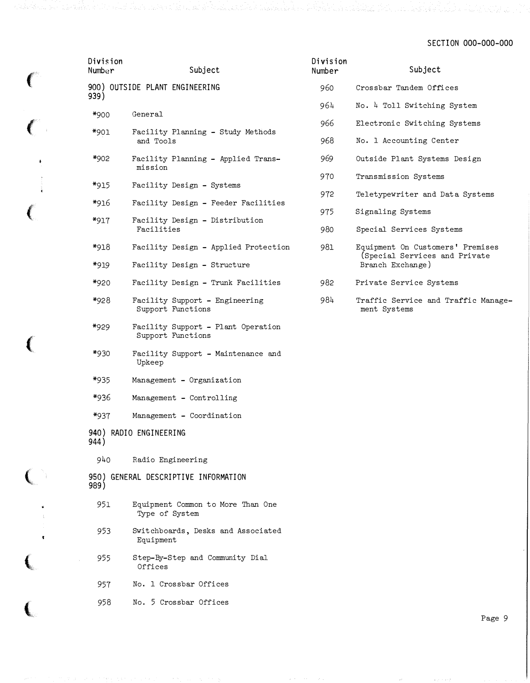| Division<br>Number | Subject                                                 | Division<br>Number | Subject                                                                               |
|--------------------|---------------------------------------------------------|--------------------|---------------------------------------------------------------------------------------|
|                    | 900) OUTSIDE PLANT ENGINEERING                          | 960                | Crossbar Tandem Offices                                                               |
| 939)               |                                                         | 964                | No. 4 Toll Switching System                                                           |
| *900               | General                                                 | 966                | Electronic Switching Systems                                                          |
| *901               | Facility Planning - Study Methods<br>and Tools          | 968                | No. 1 Accounting Center                                                               |
| *902               | Facility Planning - Applied Trans-<br>mission           | 969                | Outside Plant Systems Design                                                          |
| *915               | Facility Design - Systems                               | 970                | Transmission Systems                                                                  |
|                    |                                                         | 972                | Teletypewriter and Data Systems                                                       |
| *916               | Facility Design - Feeder Facilities                     | 975                | Signaling Systems                                                                     |
| *917               | Facility Design - Distribution<br>Facilities            | 980                | Special Services Systems                                                              |
| *918               | Facility Design - Applied Protection                    | 981                | Equipment On Customers' Premises<br>(Special Services and Private<br>Branch Exchange) |
| *919               | Facility Design - Structure                             |                    |                                                                                       |
| *920               | Facility Design - Trunk Facilities                      | 982                | Private Service Systems                                                               |
| *928               | Facility Support - Engineering<br>Support Functions     | 984                | Traffic Service and Traffic Manage-<br>ment Systems                                   |
| *929               | Facility Support - Plant Operation<br>Support Functions |                    |                                                                                       |
| *930               | Facility Support - Maintenance and<br>Upkeep            |                    |                                                                                       |
| *935               | Management - Organization                               |                    |                                                                                       |
| *936               | Management - Controlling                                |                    |                                                                                       |
| *937               | Management - Coordination                               |                    |                                                                                       |
| 944)               | 940) RADIO ENGINEERING                                  |                    |                                                                                       |
| 940                | Radio Engineering                                       |                    |                                                                                       |
| 989)               | 950) GENERAL DESCRIPTIVE INFORMATION                    |                    |                                                                                       |
| 951                | Equipment Common to More Than One<br>Type of System     |                    |                                                                                       |
| 953                | Switchboards, Desks and Associated<br>Equipment         |                    |                                                                                       |
| 955                | Step-By-Step and Community Dial<br>Offices              |                    |                                                                                       |
| 957                | No. 1 Crossbar Offices                                  |                    |                                                                                       |
| 958                | No. 5 Crossbar Offices                                  |                    |                                                                                       |

 $\left($ 

เพียงเจ้าเขารถ เมืองเดิร์เขากับ อโมร์ มีจะไป

 $\left($ 

 $\sim$   $\epsilon$ 

 $\epsilon$ 

(

 $\big($ 

l '\

 $\left($